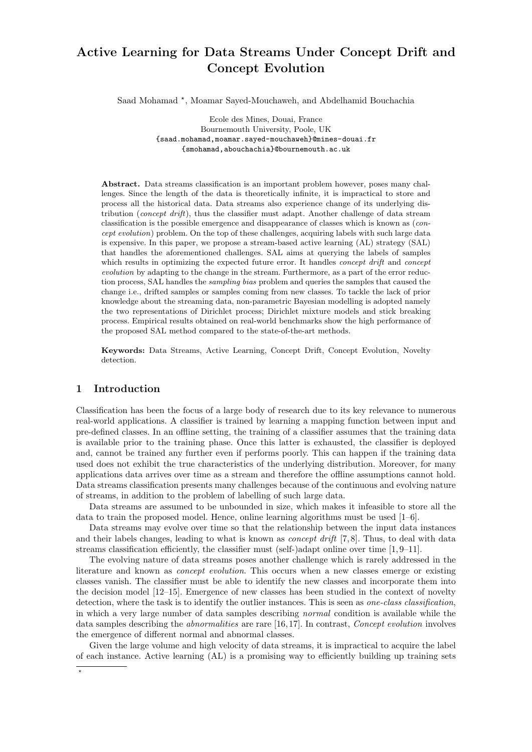# Active Learning for Data Streams Under Concept Drift and Concept Evolution

Saad Mohamad \*, Moamar Sayed-Mouchaweh, and Abdelhamid Bouchachia

Ecole des Mines, Douai, France Bournemouth University, Poole, UK {saad.mohamad,moamar.sayed-mouchaweh}@mines-douai.fr {smohamad,abouchachia}@bournemouth.ac.uk

Abstract. Data streams classification is an important problem however, poses many challenges. Since the length of the data is theoretically infinite, it is impractical to store and process all the historical data. Data streams also experience change of its underlying distribution (*concept drift*), thus the classifier must adapt. Another challenge of data stream classification is the possible emergence and disappearance of classes which is known as (concept evolution) problem. On the top of these challenges, acquiring labels with such large data is expensive. In this paper, we propose a stream-based active learning (AL) strategy (SAL) that handles the aforementioned challenges. SAL aims at querying the labels of samples which results in optimizing the expected future error. It handles *concept drift* and *concept* evolution by adapting to the change in the stream. Furthermore, as a part of the error reduction process, SAL handles the sampling bias problem and queries the samples that caused the change i.e., drifted samples or samples coming from new classes. To tackle the lack of prior knowledge about the streaming data, non-parametric Bayesian modelling is adopted namely the two representations of Dirichlet process; Dirichlet mixture models and stick breaking process. Empirical results obtained on real-world benchmarks show the high performance of the proposed SAL method compared to the state-of-the-art methods.

Keywords: Data Streams, Active Learning, Concept Drift, Concept Evolution, Novelty detection.

## 1 Introduction

Classification has been the focus of a large body of research due to its key relevance to numerous real-world applications. A classifier is trained by learning a mapping function between input and pre-defined classes. In an offline setting, the training of a classifier assumes that the training data is available prior to the training phase. Once this latter is exhausted, the classifier is deployed and, cannot be trained any further even if performs poorly. This can happen if the training data used does not exhibit the true characteristics of the underlying distribution. Moreover, for many applications data arrives over time as a stream and therefore the offline assumptions cannot hold. Data streams classification presents many challenges because of the continuous and evolving nature of streams, in addition to the problem of labelling of such large data.

Data streams are assumed to be unbounded in size, which makes it infeasible to store all the data to train the proposed model. Hence, online learning algorithms must be used [1–6].

Data streams may evolve over time so that the relationship between the input data instances and their labels changes, leading to what is known as *concept drift* [7,8]. Thus, to deal with data streams classification efficiently, the classifier must (self-)adapt online over time [1, 9–11].

The evolving nature of data streams poses another challenge which is rarely addressed in the literature and known as *concept evolution*. This occurs when a new classes emerge or existing classes vanish. The classifier must be able to identify the new classes and incorporate them into the decision model [12–15]. Emergence of new classes has been studied in the context of novelty detection, where the task is to identify the outlier instances. This is seen as one-class classification, in which a very large number of data samples describing normal condition is available while the data samples describing the *abnormalities* are rare [16,17]. In contrast, *Concept evolution* involves the emergence of different normal and abnormal classes.

Given the large volume and high velocity of data streams, it is impractical to acquire the label of each instance. Active learning (AL) is a promising way to efficiently building up training sets

 $\star$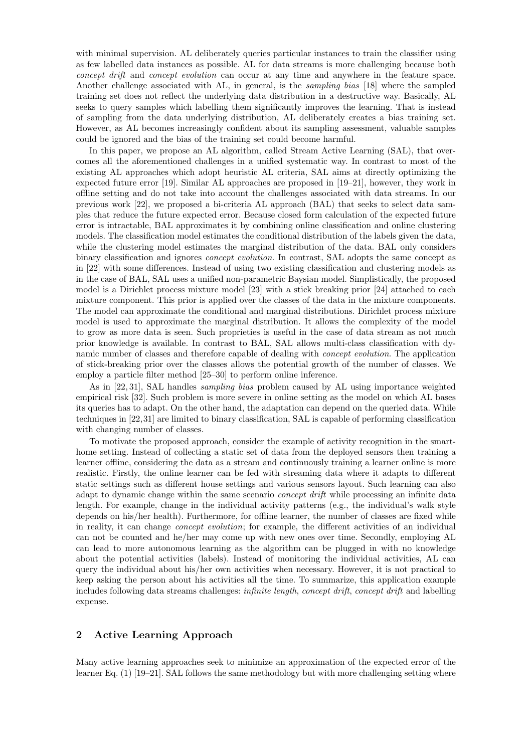with minimal supervision. AL deliberately queries particular instances to train the classifier using as few labelled data instances as possible. AL for data streams is more challenging because both concept drift and concept evolution can occur at any time and anywhere in the feature space. Another challenge associated with AL, in general, is the sampling bias [18] where the sampled training set does not reflect the underlying data distribution in a destructive way. Basically, AL seeks to query samples which labelling them significantly improves the learning. That is instead of sampling from the data underlying distribution, AL deliberately creates a bias training set. However, as AL becomes increasingly confident about its sampling assessment, valuable samples could be ignored and the bias of the training set could become harmful.

In this paper, we propose an AL algorithm, called Stream Active Learning (SAL), that overcomes all the aforementioned challenges in a unified systematic way. In contrast to most of the existing AL approaches which adopt heuristic AL criteria, SAL aims at directly optimizing the expected future error [19]. Similar AL approaches are proposed in [19–21], however, they work in offline setting and do not take into account the challenges associated with data streams. In our previous work [22], we proposed a bi-criteria AL approach (BAL) that seeks to select data samples that reduce the future expected error. Because closed form calculation of the expected future error is intractable, BAL approximates it by combining online classification and online clustering models. The classification model estimates the conditional distribution of the labels given the data, while the clustering model estimates the marginal distribution of the data. BAL only considers binary classification and ignores *concept evolution*. In contrast, SAL adopts the same concept as in [22] with some differences. Instead of using two existing classification and clustering models as in the case of BAL, SAL uses a unified non-parametric Baysian model. Simplistically, the proposed model is a Dirichlet process mixture model [23] with a stick breaking prior [24] attached to each mixture component. This prior is applied over the classes of the data in the mixture components. The model can approximate the conditional and marginal distributions. Dirichlet process mixture model is used to approximate the marginal distribution. It allows the complexity of the model to grow as more data is seen. Such proprieties is useful in the case of data stream as not much prior knowledge is available. In contrast to BAL, SAL allows multi-class classification with dynamic number of classes and therefore capable of dealing with concept evolution. The application of stick-breaking prior over the classes allows the potential growth of the number of classes. We employ a particle filter method [25–30] to perform online inference.

As in [22, 31], SAL handles sampling bias problem caused by AL using importance weighted empirical risk [32]. Such problem is more severe in online setting as the model on which AL bases its queries has to adapt. On the other hand, the adaptation can depend on the queried data. While techniques in [22,31] are limited to binary classification, SAL is capable of performing classification with changing number of classes.

To motivate the proposed approach, consider the example of activity recognition in the smarthome setting. Instead of collecting a static set of data from the deployed sensors then training a learner offline, considering the data as a stream and continuously training a learner online is more realistic. Firstly, the online learner can be fed with streaming data where it adapts to different static settings such as different house settings and various sensors layout. Such learning can also adapt to dynamic change within the same scenario concept drift while processing an infinite data length. For example, change in the individual activity patterns (e.g., the individual's walk style depends on his/her health). Furthermore, for offline learner, the number of classes are fixed while in reality, it can change *concept evolution*; for example, the different activities of an individual can not be counted and he/her may come up with new ones over time. Secondly, employing AL can lead to more autonomous learning as the algorithm can be plugged in with no knowledge about the potential activities (labels). Instead of monitoring the individual activities, AL can query the individual about his/her own activities when necessary. However, it is not practical to keep asking the person about his activities all the time. To summarize, this application example includes following data streams challenges: *infinite length, concept drift, concept drift* and labelling expense.

# 2 Active Learning Approach

Many active learning approaches seek to minimize an approximation of the expected error of the learner Eq. (1) [19–21]. SAL follows the same methodology but with more challenging setting where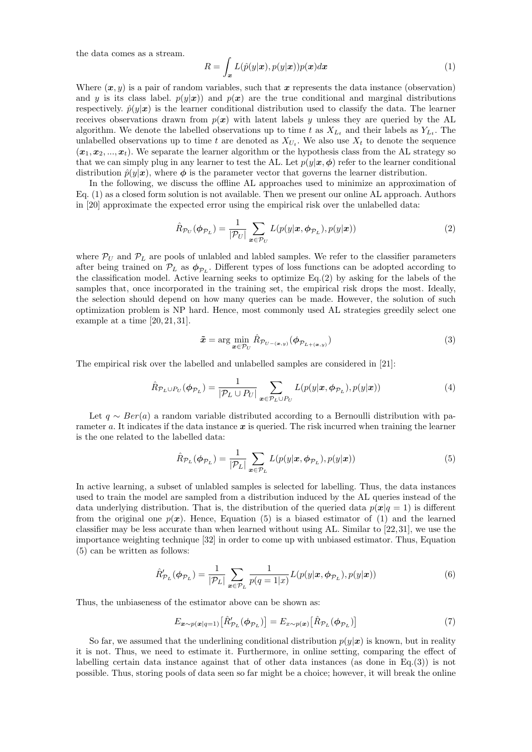the data comes as a stream.

$$
R = \int_{\mathbf{x}} L(\hat{p}(y|\mathbf{x}), p(y|\mathbf{x}))p(\mathbf{x})d\mathbf{x}
$$
 (1)

Where  $(x, y)$  is a pair of random variables, such that x represents the data instance (observation) and y is its class label.  $p(y|x)$  and  $p(x)$  are the true conditional and marginal distributions respectively.  $\hat{p}(y|x)$  is the learner conditional distribution used to classify the data. The learner receives observations drawn from  $p(x)$  with latent labels y unless they are queried by the AL algorithm. We denote the labelled observations up to time t as  $X_{L_t}$  and their labels as  $Y_{L_t}$ . The unlabelled observations up to time t are denoted as  $X_{U_t}$ . We also use  $X_t$  to denote the sequence  $(x_1, x_2, ..., x_t)$ . We separate the learner algorithm or the hypothesis class from the AL strategy so that we can simply plug in any learner to test the AL. Let  $p(y|x, \phi)$  refer to the learner conditional distribution  $\hat{p}(y|\mathbf{x})$ , where  $\phi$  is the parameter vector that governs the learner distribution.

In the following, we discuss the offline AL approaches used to minimize an approximation of Eq. (1) as a closed form solution is not available. Then we present our online AL approach. Authors in [20] approximate the expected error using the empirical risk over the unlabelled data:

$$
\hat{R}_{\mathcal{P}_U}(\boldsymbol{\phi}_{\mathcal{P}_L}) = \frac{1}{|\mathcal{P}_U|} \sum_{\boldsymbol{x} \in \mathcal{P}_U} L(p(y|\boldsymbol{x}, \boldsymbol{\phi}_{\mathcal{P}_L}), p(y|\boldsymbol{x})) \tag{2}
$$

where  $P_U$  and  $P_L$  are pools of unlabled and labled samples. We refer to the classifier parameters after being trained on  $\mathcal{P}_L$  as  $\phi_{\mathcal{P}_L}$ . Different types of loss functions can be adopted according to the classification model. Active learning seeks to optimize Eq.(2) by asking for the labels of the samples that, once incorporated in the training set, the empirical risk drops the most. Ideally, the selection should depend on how many queries can be made. However, the solution of such optimization problem is NP hard. Hence, most commonly used AL strategies greedily select one example at a time [20, 21, 31].

$$
\tilde{\boldsymbol{x}} = \arg\min_{\boldsymbol{x} \in \mathcal{P}_U} \hat{R}_{\mathcal{P}_{U - (\boldsymbol{x}, y)}} (\boldsymbol{\phi}_{\mathcal{P}_{L + (\boldsymbol{x}, y)}})
$$
(3)

The empirical risk over the labelled and unlabelled samples are considered in [21]:

$$
\hat{R}_{\mathcal{P}_L \cup P_U}(\boldsymbol{\phi}_{\mathcal{P}_L}) = \frac{1}{|\mathcal{P}_L \cup P_U|} \sum_{\boldsymbol{x} \in \mathcal{P}_L \cup P_U} L(p(y|\boldsymbol{x}, \boldsymbol{\phi}_{\mathcal{P}_L}), p(y|\boldsymbol{x})) \tag{4}
$$

Let  $q \sim Ber(a)$  a random variable distributed according to a Bernoulli distribution with parameter a. It indicates if the data instance  $x$  is queried. The risk incurred when training the learner is the one related to the labelled data:

$$
\hat{R}_{\mathcal{P}_L}(\boldsymbol{\phi}_{\mathcal{P}_L}) = \frac{1}{|\mathcal{P}_L|} \sum_{\boldsymbol{x} \in \mathcal{P}_L} L(p(y|\boldsymbol{x}, \boldsymbol{\phi}_{\mathcal{P}_L}), p(y|\boldsymbol{x})) \tag{5}
$$

In active learning, a subset of unlabled samples is selected for labelling. Thus, the data instances used to train the model are sampled from a distribution induced by the AL queries instead of the data underlying distribution. That is, the distribution of the queried data  $p(x|q = 1)$  is different from the original one  $p(x)$ . Hence, Equation (5) is a biased estimator of (1) and the learned classifier may be less accurate than when learned without using AL. Similar to [22, 31], we use the importance weighting technique [32] in order to come up with unbiased estimator. Thus, Equation (5) can be written as follows:

$$
\hat{R}_{\mathcal{P}_L}'(\boldsymbol{\phi}_{\mathcal{P}_L}) = \frac{1}{|\mathcal{P}_L|} \sum_{\boldsymbol{x} \in \mathcal{P}_L} \frac{1}{p(q=1|x)} L(p(y|\boldsymbol{x}, \boldsymbol{\phi}_{\mathcal{P}_L}), p(y|\boldsymbol{x})) \tag{6}
$$

Thus, the unbiaseness of the estimator above can be shown as:

$$
E_{\mathbf{x} \sim p(\mathbf{x}|q=1)} \left[ \hat{R}'_{\mathcal{P}_L}(\boldsymbol{\phi}_{\mathcal{P}_L}) \right] = E_{\mathbf{x} \sim p(\mathbf{x})} \left[ \hat{R}_{\mathcal{P}_L}(\boldsymbol{\phi}_{\mathcal{P}_L}) \right] \tag{7}
$$

So far, we assumed that the underlining conditional distribution  $p(y|x)$  is known, but in reality it is not. Thus, we need to estimate it. Furthermore, in online setting, comparing the effect of labelling certain data instance against that of other data instances (as done in Eq.(3)) is not possible. Thus, storing pools of data seen so far might be a choice; however, it will break the online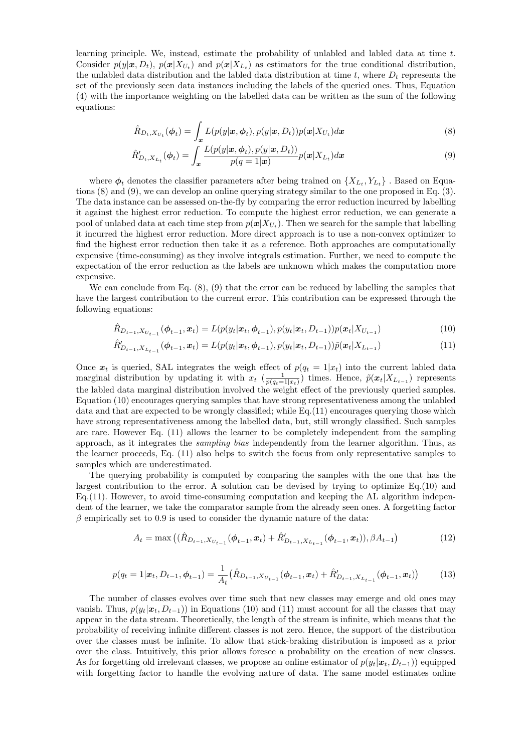learning principle. We, instead, estimate the probability of unlabled and labled data at time t. Consider  $p(y|\mathbf{x}, D_t)$ ,  $p(\mathbf{x}|X_{U_t})$  and  $p(\mathbf{x}|X_{L_t})$  as estimators for the true conditional distribution, the unlabled data distribution and the labled data distribution at time t, where  $D_t$  represents the set of the previously seen data instances including the labels of the queried ones. Thus, Equation (4) with the importance weighting on the labelled data can be written as the sum of the following equations:

$$
\hat{R}_{D_t, X_{U_t}}(\boldsymbol{\phi}_t) = \int_{\boldsymbol{x}} L(p(y|\boldsymbol{x}, \boldsymbol{\phi}_t), p(y|\boldsymbol{x}, D_t)) p(\boldsymbol{x}|X_{U_t}) d\boldsymbol{x}
$$
\n(8)

$$
\hat{R}'_{D_t,X_{L_t}}(\boldsymbol{\phi}_t) = \int_{\boldsymbol{x}} \frac{L(p(y|\boldsymbol{x},\boldsymbol{\phi}_t), p(y|\boldsymbol{x}, D_t))}{p(q=1|\boldsymbol{x})} p(\boldsymbol{x}|X_{L_t}) d\boldsymbol{x}
$$
\n(9)

where  $\phi_t$  denotes the classifier parameters after being trained on  $\{X_{L_t}, Y_{L_t}\}$ . Based on Equations (8) and (9), we can develop an online querying strategy similar to the one proposed in Eq. (3). The data instance can be assessed on-the-fly by comparing the error reduction incurred by labelling it against the highest error reduction. To compute the highest error reduction, we can generate a pool of unlabed data at each time step from  $p(x|X_{U_t})$ . Then we search for the sample that labelling it incurred the highest error reduction. More direct approach is to use a non-convex optimizer to find the highest error reduction then take it as a reference. Both approaches are computationally expensive (time-consuming) as they involve integrals estimation. Further, we need to compute the expectation of the error reduction as the labels are unknown which makes the computation more expensive.

We can conclude from Eq.  $(8)$ ,  $(9)$  that the error can be reduced by labelling the samples that have the largest contribution to the current error. This contribution can be expressed through the following equations:

$$
\hat{R}_{D_{t-1}, X_{U_{t-1}}}(\phi_{t-1}, \mathbf{x}_t) = L(p(y_t|\mathbf{x}_t, \phi_{t-1}), p(y_t|\mathbf{x}_t, D_{t-1}))p(\mathbf{x}_t|X_{U_{t-1}})
$$
\n(10)

$$
\hat{R}'_{D_{t-1},X_{L_{t-1}}}(\phi_{t-1},x_t) = L(p(y_t|x_t,\phi_{t-1}),p(y_t|x_t,D_{t-1}))\tilde{p}(x_t|X_{L_{t-1}})
$$
\n(11)

Once  $x_t$  is queried, SAL integrates the weigh effect of  $p(q_t = 1|x_t)$  into the current labled data marginal distribution by updating it with  $x_t$  ( $\frac{1}{p(q_t=1|x_t)}$ ) times. Hence,  $\tilde{p}(x_t|X_{L_{t-1}})$  represents the labled data marginal distribution involved the weight effect of the previously queried samples. Equation (10) encourages querying samples that have strong representativeness among the unlabled data and that are expected to be wrongly classified; while Eq.(11) encourages querying those which have strong representativeness among the labelled data, but, still wrongly classified. Such samples are rare. However Eq. (11) allows the learner to be completely independent from the sampling approach, as it integrates the *sampling bias* independently from the learner algorithm. Thus, as the learner proceeds, Eq. (11) also helps to switch the focus from only representative samples to samples which are underestimated.

The querying probability is computed by comparing the samples with the one that has the largest contribution to the error. A solution can be devised by trying to optimize Eq.(10) and Eq.(11). However, to avoid time-consuming computation and keeping the AL algorithm independent of the learner, we take the comparator sample from the already seen ones. A forgetting factor  $\beta$  empirically set to 0.9 is used to consider the dynamic nature of the data:

$$
A_t = \max\left( (\hat{R}_{D_{t-1}, X_{U_{t-1}}}(\phi_{t-1}, \boldsymbol{x}_t) + \hat{R}_{D_{t-1}, X_{L_{t-1}}}(\phi_{t-1}, \boldsymbol{x}_t)), \beta A_{t-1} \right) \tag{12}
$$

$$
p(q_t = 1 | \boldsymbol{x}_t, D_{t-1}, \boldsymbol{\phi}_{t-1}) = \frac{1}{A_t} (\hat{R}_{D_{t-1}, X_{U_{t-1}}}(\boldsymbol{\phi}_{t-1}, \boldsymbol{x}_t) + \hat{R}'_{D_{t-1}, X_{L_{t-1}}}(\boldsymbol{\phi}_{t-1}, \boldsymbol{x}_t))
$$
(13)

The number of classes evolves over time such that new classes may emerge and old ones may vanish. Thus,  $p(y_t|\mathbf{x}_t, D_{t-1})$  in Equations (10) and (11) must account for all the classes that may appear in the data stream. Theoretically, the length of the stream is infinite, which means that the probability of receiving infinite different classes is not zero. Hence, the support of the distribution over the classes must be infinite. To allow that stick-braking distribution is imposed as a prior over the class. Intuitively, this prior allows foresee a probability on the creation of new classes. As for forgetting old irrelevant classes, we propose an online estimator of  $p(y_t|x_t, D_{t-1})$  equipped with forgetting factor to handle the evolving nature of data. The same model estimates online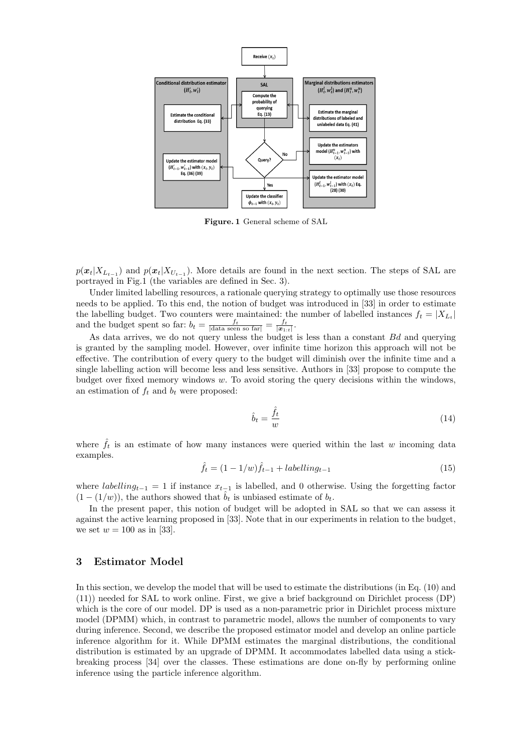

Figure. 1 General scheme of SAL

 $p(\boldsymbol{x}_t|X_{L_{t-1}})$  and  $p(\boldsymbol{x}_t|X_{U_{t-1}})$ . More details are found in the next section. The steps of SAL are portrayed in Fig.1 (the variables are defined in Sec. 3).

Under limited labelling resources, a rationale querying strategy to optimally use those resources needs to be applied. To this end, the notion of budget was introduced in [33] in order to estimate the labelling budget. Two counters were maintained: the number of labelled instances  $f_t = |X_{L_t}|$ and the budget spent so far:  $b_t = \frac{f_t}{|\text{data seen so far}|} = \frac{f_t}{|\mathbf{x}_{1:t}|}.$ 

As data arrives, we do not query unless the budget is less than a constant Bd and querying is granted by the sampling model. However, over infinite time horizon this approach will not be effective. The contribution of every query to the budget will diminish over the infinite time and a single labelling action will become less and less sensitive. Authors in [33] propose to compute the budget over fixed memory windows  $w$ . To avoid storing the query decisions within the windows, an estimation of  $f_t$  and  $b_t$  were proposed:

$$
\hat{b}_t = \frac{\hat{f}_t}{w} \tag{14}
$$

where  $\hat{f}_t$  is an estimate of how many instances were queried within the last w incoming data examples.

$$
\hat{f}_t = (1 - 1/w)\hat{f}_{t-1} + labelling_{t-1}
$$
\n(15)

where labelling<sub>t−1</sub> = 1 if instance  $x_{t-1}$  is labelled, and 0 otherwise. Using the forgetting factor  $(1 - (1/w))$ , the authors showed that  $b_t$  is unbiased estimate of  $b_t$ .

In the present paper, this notion of budget will be adopted in SAL so that we can assess it against the active learning proposed in [33]. Note that in our experiments in relation to the budget, we set  $w = 100$  as in [33].

# 3 Estimator Model

In this section, we develop the model that will be used to estimate the distributions (in Eq. (10) and (11)) needed for SAL to work online. First, we give a brief background on Dirichlet process (DP) which is the core of our model. DP is used as a non-parametric prior in Dirichlet process mixture model (DPMM) which, in contrast to parametric model, allows the number of components to vary during inference. Second, we describe the proposed estimator model and develop an online particle inference algorithm for it. While DPMM estimates the marginal distributions, the conditional distribution is estimated by an upgrade of DPMM. It accommodates labelled data using a stickbreaking process [34] over the classes. These estimations are done on-fly by performing online inference using the particle inference algorithm.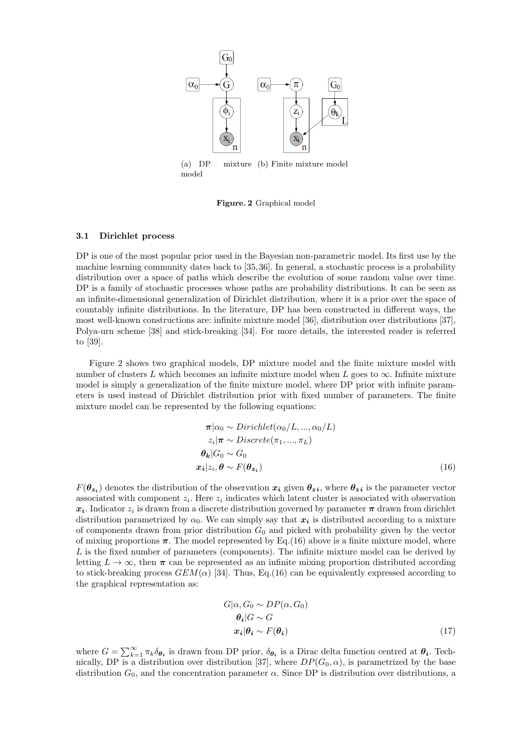

(a) DP mixture (b) Finite mixture model model

Figure. 2 Graphical model

### 3.1 Dirichlet process

DP is one of the most popular prior used in the Bayesian non-parametric model. Its first use by the machine learning community dates back to [35,36]. In general, a stochastic process is a probability distribution over a space of paths which describe the evolution of some random value over time. DP is a family of stochastic processes whose paths are probability distributions. It can be seen as an infinite-dimensional generalization of Dirichlet distribution, where it is a prior over the space of countably infinite distributions. In the literature, DP has been constructed in different ways, the most well-known constructions are: infinite mixture model [36], distribution over distributions [37], Polya-urn scheme [38] and stick-breaking [34]. For more details, the interested reader is referred to [39].

Figure 2 shows two graphical models, DP mixture model and the finite mixture model with number of clusters L which becomes an infinite mixture model when L goes to  $\infty$ . Infinite mixture model is simply a generalization of the finite mixture model, where DP prior with infinite parameters is used instead of Dirichlet distribution prior with fixed number of parameters. The finite mixture model can be represented by the following equations:

$$
\pi|\alpha_0 \sim Dirichlet(\alpha_0/L, ..., \alpha_0/L)
$$
  
\n
$$
z_i|\pi \sim Discrete(\pi_1, ..., \pi_L)
$$
  
\n
$$
\theta_k|G_0 \sim G_0
$$
  
\n
$$
x_i|z_i, \theta \sim F(\theta_{z_i})
$$
\n(16)

 $F(\theta_{\bm{z}_i})$  denotes the distribution of the observation  $x_i$  given  $\theta_{\bm{z}}i$ , where  $\theta_{\bm{z}}i$  is the parameter vector associated with component  $z_i$ . Here  $z_i$  indicates which latent cluster is associated with observation  $x_i$ . Indicator  $z_i$  is drawn from a discrete distribution governed by parameter  $\pi$  drawn from dirichlet distribution parametrized by  $\alpha_0$ . We can simply say that  $x_i$  is distributed according to a mixture of components drawn from prior distribution  $G_0$  and picked with probability given by the vector of mixing proportions  $\pi$ . The model represented by Eq.(16) above is a finite mixture model, where  $L$  is the fixed number of parameters (components). The infinite mixture model can be derived by letting  $L \to \infty$ , then  $\pi$  can be represented as an infinite mixing proportion distributed according to stick-breaking process  $GEM(\alpha)$  [34]. Thus, Eq.(16) can be equivalently expressed according to the graphical representation as:

$$
G|\alpha, G_0 \sim DP(\alpha, G_0)
$$
  
\n
$$
\theta_i|G \sim G
$$
  
\n
$$
x_i|\theta_i \sim F(\theta_i)
$$
 (17)

where  $G = \sum_{k=1}^{\infty} \pi_k \delta_{\theta_i}$  is drawn from DP prior,  $\delta_{\theta_i}$  is a Dirac delta function centred at  $\theta_i$ . Technically, DP is a distribution over distribution [37], where  $DP(G_0, \alpha)$ , is parametrized by the base distribution  $G_0$ , and the concentration parameter  $\alpha$ . Since DP is distribution over distributions, a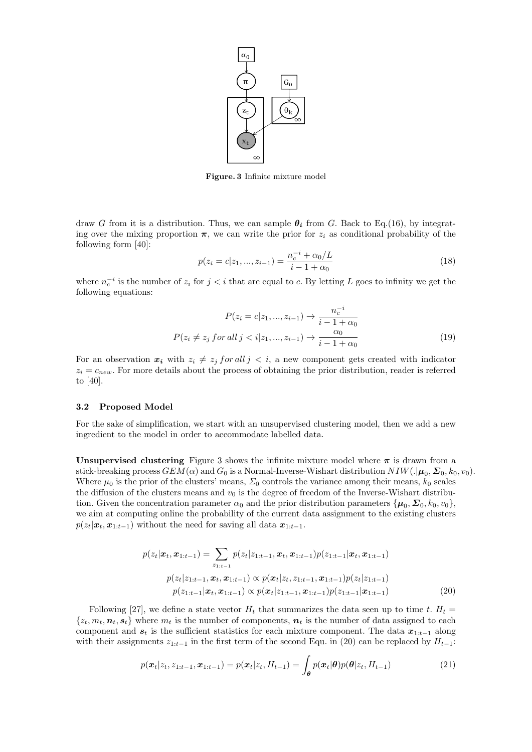

Figure. 3 Infinite mixture model

draw G from it is a distribution. Thus, we can sample  $\theta_i$  from G. Back to Eq.(16), by integrating over the mixing proportion  $\pi$ , we can write the prior for  $z_i$  as conditional probability of the following form [40]:

$$
p(z_i = c | z_1, ..., z_{i-1}) = \frac{n_c^{-i} + \alpha_0 / L}{i - 1 + \alpha_0} \tag{18}
$$

where  $n_c^{-i}$  is the number of  $z_i$  for  $j < i$  that are equal to c. By letting L goes to infinity we get the following equations:

$$
P(z_i = c | z_1, ..., z_{i-1}) \to \frac{n_c^{-i}}{i - 1 + \alpha_0}
$$
  

$$
P(z_i \neq z_j \text{ for all } j < i | z_1, ..., z_{i-1}) \to \frac{\alpha_0}{i - 1 + \alpha_0} \tag{19}
$$

For an observation  $x_i$  with  $z_i \neq z_j$  for all  $j < i$ , a new component gets created with indicator  $z_i = c_{new}$ . For more details about the process of obtaining the prior distribution, reader is referred to [40].

### 3.2 Proposed Model

For the sake of simplification, we start with an unsupervised clustering model, then we add a new ingredient to the model in order to accommodate labelled data.

Unsupervised clustering Figure 3 shows the infinite mixture model where  $\pi$  is drawn from a stick-breaking process  $GEM(\alpha)$  and  $G_0$  is a Normal-Inverse-Wishart distribution  $NIW(.|\mu_0, \Sigma_0, k_0, v_0)$ . Where  $\mu_0$  is the prior of the clusters' means,  $\Sigma_0$  controls the variance among their means,  $k_0$  scales the diffusion of the clusters means and  $v_0$  is the degree of freedom of the Inverse-Wishart distribution. Given the concentration parameter  $\alpha_0$  and the prior distribution parameters  $\{\mu_0, \Sigma_0, k_0, v_0\}$ , we aim at computing online the probability of the current data assignment to the existing clusters  $p(z_t|\boldsymbol{x}_t, \boldsymbol{x}_{1:t-1})$  without the need for saving all data  $\boldsymbol{x}_{1:t-1}$ .

$$
p(z_t|\boldsymbol{x}_t, \boldsymbol{x}_{1:t-1}) = \sum_{z_{1:t-1}} p(z_t|z_{1:t-1}, \boldsymbol{x}_t, \boldsymbol{x}_{1:t-1}) p(z_{1:t-1}|\boldsymbol{x}_t, \boldsymbol{x}_{1:t-1})
$$
  
\n
$$
p(z_t|z_{1:t-1}, \boldsymbol{x}_t, \boldsymbol{x}_{1:t-1}) \propto p(\boldsymbol{x}_t|z_t, z_{1:t-1}, \boldsymbol{x}_{1:t-1}) p(z_t|z_{1:t-1})
$$
  
\n
$$
p(z_{1:t-1}|\boldsymbol{x}_t, \boldsymbol{x}_{1:t-1}) \propto p(\boldsymbol{x}_t|z_{1:t-1}, \boldsymbol{x}_{1:t-1}) p(z_{1:t-1}|\boldsymbol{x}_{1:t-1})
$$
 (20)

Following [27], we define a state vector  $H_t$  that summarizes the data seen up to time t.  $H_t =$  $\{z_t, m_t, n_t, s_t\}$  where  $m_t$  is the number of components,  $n_t$  is the number of data assigned to each component and  $s_t$  is the sufficient statistics for each mixture component. The data  $x_{1:t-1}$  along with their assignments  $z_{1:t-1}$  in the first term of the second Equ. in (20) can be replaced by  $H_{t-1}$ :

$$
p(\mathbf{x}_t | z_t, z_{1:t-1}, \mathbf{x}_{1:t-1}) = p(\mathbf{x}_t | z_t, H_{t-1}) = \int_{\theta} p(\mathbf{x}_t | \theta) p(\theta | z_t, H_{t-1})
$$
\n(21)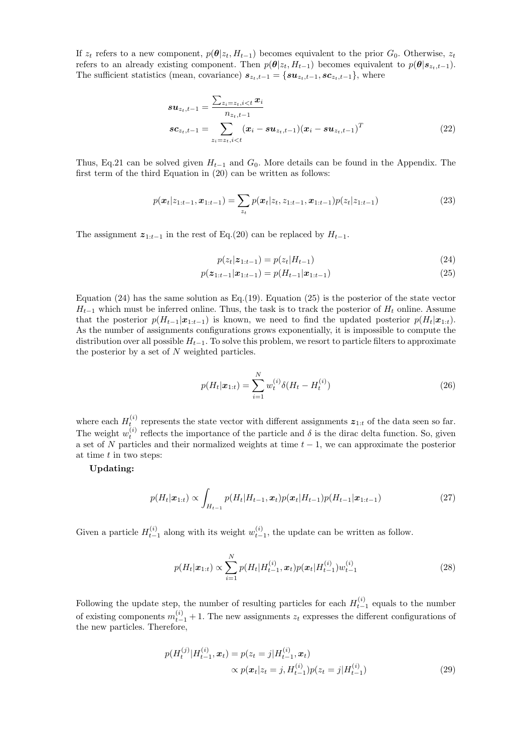If  $z_t$  refers to a new component,  $p(\theta | z_t, H_{t-1})$  becomes equivalent to the prior  $G_0$ . Otherwise,  $z_t$ refers to an already existing component. Then  $p(\theta|z_t, H_{t-1})$  becomes equivalent to  $p(\theta|s_{z_t,t-1})$ . The sufficient statistics (mean, covariance)  $s_{z_t,t-1} = \{su_{z_t,t-1}, sc_{z_t,t-1}\}\$ , where

$$
\boldsymbol{s} \boldsymbol{u}_{z_t, t-1} = \frac{\sum_{z_i = z_t, i < t} x_i}{n_{z_t, t-1}} \n\boldsymbol{s} \boldsymbol{c}_{z_t, t-1} = \sum_{z_i = z_t, i < t} (\boldsymbol{x}_i - \boldsymbol{s} \boldsymbol{u}_{z_t, t-1}) (\boldsymbol{x}_i - \boldsymbol{s} \boldsymbol{u}_{z_t, t-1})^T
$$
\n(22)

Thus, Eq.21 can be solved given  $H_{t-1}$  and  $G_0$ . More details can be found in the Appendix. The first term of the third Equation in (20) can be written as follows:

$$
p(\boldsymbol{x}_t|z_{1:t-1}, \boldsymbol{x}_{1:t-1}) = \sum_{z_t} p(\boldsymbol{x}_t|z_t, z_{1:t-1}, \boldsymbol{x}_{1:t-1}) p(z_t|z_{1:t-1})
$$
\n(23)

The assignment  $z_{1:t-1}$  in the rest of Eq.(20) can be replaced by  $H_{t-1}$ .

$$
p(z_t|\mathbf{z}_{1:t-1}) = p(z_t|H_{t-1})
$$
\n(24)

$$
p(\mathbf{z}_{1:t-1}|\mathbf{x}_{1:t-1}) = p(H_{t-1}|\mathbf{x}_{1:t-1})
$$
\n(25)

Equation  $(24)$  has the same solution as Eq. (19). Equation  $(25)$  is the posterior of the state vector  $H_{t-1}$  which must be inferred online. Thus, the task is to track the posterior of  $H_t$  online. Assume that the posterior  $p(H_{t-1}|\mathbf{x}_{1:t-1})$  is known, we need to find the updated posterior  $p(H_t|\mathbf{x}_{1:t}).$ As the number of assignments configurations grows exponentially, it is impossible to compute the distribution over all possible  $H_{t-1}$ . To solve this problem, we resort to particle filters to approximate the posterior by a set of N weighted particles.

$$
p(H_t|\mathbf{x}_{1:t}) = \sum_{i=1}^{N} w_t^{(i)} \delta(H_t - H_t^{(i)})
$$
\n(26)

where each  $H_t^{(i)}$  represents the state vector with different assignments  $z_{1:t}$  of the data seen so far. The weight  $w_t^{(i)}$  reflects the importance of the particle and  $\delta$  is the dirac delta function. So, given a set of N particles and their normalized weights at time  $t - 1$ , we can approximate the posterior at time  $t$  in two steps:

Updating:

$$
p(H_t|\boldsymbol{x}_{1:t}) \propto \int_{H_{t-1}} p(H_t|H_{t-1}, \boldsymbol{x}_t) p(\boldsymbol{x}_t|H_{t-1}) p(H_{t-1}|\boldsymbol{x}_{1:t-1})
$$
\n(27)

Given a particle  $H_{t-1}^{(i)}$  along with its weight  $w_{t-1}^{(i)}$ , the update can be written as follow.

$$
p(H_t|\mathbf{x}_{1:t}) \propto \sum_{i=1}^{N} p(H_t|H_{t-1}^{(i)}, \mathbf{x}_t) p(\mathbf{x}_t|H_{t-1}^{(i)}) w_{t-1}^{(i)}
$$
\n(28)

Following the update step, the number of resulting particles for each  $H_{t-1}^{(i)}$  equals to the number of existing components  $m_{t-1}^{(i)} + 1$ . The new assignments  $z_t$  expresses the different configurations of the new particles. Therefore,

$$
p(H_t^{(j)}|H_{t-1}^{(i)}, \mathbf{x}_t) = p(z_t = j|H_{t-1}^{(i)}, \mathbf{x}_t)
$$
  
 
$$
\propto p(\mathbf{x}_t|z_t = j, H_{t-1}^{(i)})p(z_t = j|H_{t-1}^{(i)})
$$
 (29)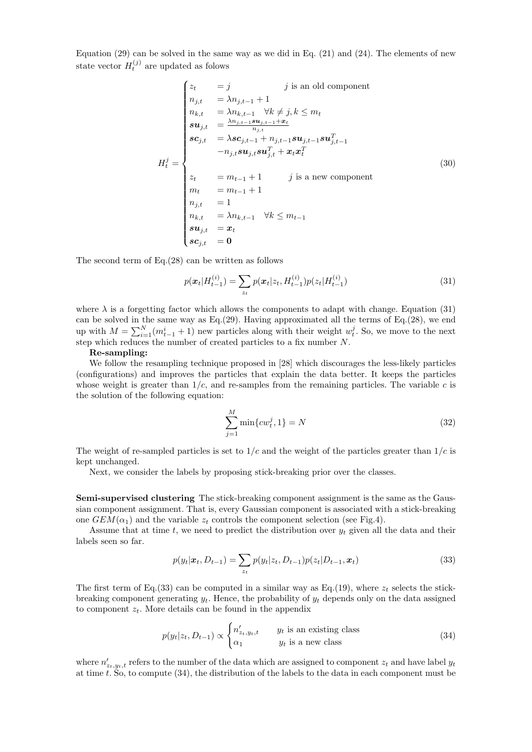Equation  $(29)$  can be solved in the same way as we did in Eq.  $(21)$  and  $(24)$ . The elements of new state vector  $H_t^{(j)}$  are updated as folows

$$
\begin{cases}\nz_t = j & j \text{ is an old component} \\
n_{j,t} = \lambda n_{j,t-1} + 1 \\
n_{k,t} = \lambda n_{k,t-1} \quad \forall k \neq j, k \leq m_t \\
su_{j,t} = \frac{\lambda n_{j,t-1} s u_{j,t-1} + x_t}{n_{j,t}} \\
sc_{j,t} = \lambda sc_{j,t-1} + n_{j,t-1} s u_{j,t-1} s u_{j,t-1}^T \\
-r_{j,t} s u_{j,t} s u_{j,t}^T + x_t x_t^T \\
H_t^j = \begin{cases}\nz_t = m_{t-1} + 1 & j \text{ is a new component} \\
m_t = m_{t-1} + 1 & j \text{ is a new component} \\
m_{t} = m_{t-1} + 1 \\
n_{j,t} = 1 \\
n_{k,t} = \lambda n_{k,t-1} \quad \forall k \leq m_{t-1} \\
su_{j,t} = x_t \\
sc_{j,t} = 0\n\end{cases}
$$
\n(30)

The second term of Eq.(28) can be written as follows

$$
p(\boldsymbol{x}_t | H_{t-1}^{(i)}) = \sum_{z_t} p(\boldsymbol{x}_t | z_t, H_{t-1}^{(i)}) p(z_t | H_{t-1}^{(i)})
$$
\n(31)

where  $\lambda$  is a forgetting factor which allows the components to adapt with change. Equation (31) can be solved in the same way as  $Eq.(29)$ . Having approximated all the terms of  $Eq.(28)$ , we end up with  $M = \sum_{i=1}^{N} (m_{t-1}^i + 1)$  new particles along with their weight  $w_t^j$ . So, we move to the next step which reduces the number of created particles to a fix number  $N$ .

#### Re-sampling:

We follow the resampling technique proposed in [28] which discourages the less-likely particles (configurations) and improves the particles that explain the data better. It keeps the particles whose weight is greater than  $1/c$ , and re-samples from the remaining particles. The variable c is the solution of the following equation:

$$
\sum_{j=1}^{M} \min\{cw_t^j, 1\} = N
$$
\n(32)

The weight of re-sampled particles is set to  $1/c$  and the weight of the particles greater than  $1/c$  is kept unchanged.

Next, we consider the labels by proposing stick-breaking prior over the classes.

Semi-supervised clustering The stick-breaking component assignment is the same as the Gaussian component assignment. That is, every Gaussian component is associated with a stick-breaking one  $GEM(\alpha_1)$  and the variable  $z_t$  controls the component selection (see Fig.4).

Assume that at time t, we need to predict the distribution over  $y_t$  given all the data and their labels seen so far.

$$
p(y_t|\mathbf{x}_t, D_{t-1}) = \sum_{z_t} p(y_t|z_t, D_{t-1}) p(z_t|D_{t-1}, \mathbf{x}_t)
$$
\n(33)

The first term of Eq.(33) can be computed in a similar way as Eq.(19), where  $z_t$  selects the stickbreaking component generating  $y_t$ . Hence, the probability of  $y_t$  depends only on the data assigned to component  $z_t$ . More details can be found in the appendix

$$
p(y_t|z_t, D_{t-1}) \propto \begin{cases} n'_{z_t, y_t, t} & y_t \text{ is an existing class} \\ \alpha_1 & y_t \text{ is a new class} \end{cases}
$$
 (34)

where  $n'_{z_t,y_t,t}$  refers to the number of the data which are assigned to component  $z_t$  and have label  $y_t$ at time t. So, to compute  $(34)$ , the distribution of the labels to the data in each component must be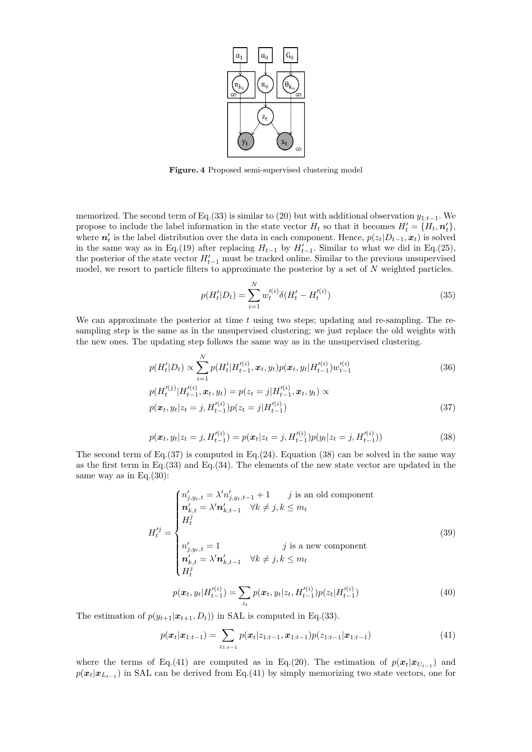

Figure. 4 Proposed semi-supervised clustering model

memorized. The second term of Eq.(33) is similar to (20) but with additional observation  $y_{1:t-1}$ . We propose to include the label information in the state vector  $H_t$  so that it becomes  $H'_t = \{H_t, \mathbf{n}'_t\}$ , where  $n'_t$  is the label distribution over the data in each component. Hence,  $p(z_t|D_{t-1}, x_t)$  is solved in the same way as in Eq.(19) after replacing  $H_{t-1}$  by  $H'_{t-1}$ . Similar to what we did in Eq.(25), the posterior of the state vector  $H'_{t-1}$  must be tracked online. Similar to the previous unsupervised model, we resort to particle filters to approximate the posterior by a set of  $N$  weighted particles.

$$
p(H'_t|D_t) = \sum_{i=1}^{N} w_t^{\prime(i)} \delta(H'_t - H_t^{\prime(i)})
$$
\n(35)

We can approximate the posterior at time  $t$  using two steps; updating and re-sampling. The resampling step is the same as in the unsupervised clustering; we just replace the old weights with the new ones. The updating step follows the same way as in the unsupervised clustering.

$$
p(H'_t|D_t) \propto \sum_{i=1}^{N} p(H'_t|H'^{(i)}_{t-1}, \mathbf{x}_t, y_t) p(\mathbf{x}_t, y_t|H'^{(i)}_{t-1}) w'^{(i)}_{t-1}
$$
\n(36)

$$
p(H_t^{(i)})|H_{t-1}^{(i)}, \mathbf{x}_t, y_t) = p(z_t = j|H_{t-1}^{(i)}, \mathbf{x}_t, y_t) \propto
$$
  
\n
$$
p(\mathbf{x}_t, y_t|z_t = j, H_{t-1}^{(i)})p(z_t = j|H_{t-1}^{(i)})
$$
\n(37)

$$
p(\boldsymbol{x}_t, y_t | z_t = j, H_{t-1}^{\prime(i)}) = p(\boldsymbol{x}_t | z_t = j, H_{t-1}^{\prime(i)}) p(y_t | z_t = j, H_{t-1}^{\prime(i)}))
$$
\n(38)

The second term of Eq.  $(37)$  is computed in Eq.  $(24)$ . Equation  $(38)$  can be solved in the same way as the first term in Eq.(33) and Eq.(34). The elements of the new state vector are updated in the same way as in Eq.(30):

$$
H_t^{tj} = \begin{cases} n'_{j,y_t,t} = \lambda' n'_{j,y_t,t-1} + 1 & j \text{ is an old component} \\ n'_{k,t} = \lambda' n'_{k,t-1} & \forall k \neq j, k \leq m_t \\ H_t^{j} \\ n'_{j,y_t,t} = 1 & j \text{ is a new component} \\ n'_{k,t} = \lambda' n'_{k,t-1} & \forall k \neq j, k \leq m_t \\ H_t^{j} \end{cases}
$$
(39)

$$
p(\boldsymbol{x}_t, y_t | H_{t-1}^{\prime(i)}) = \sum_{z_t} p(\boldsymbol{x}_t, y_t | z_t, H_{t-1}^{\prime(i)}) p(z_t | H_{t-1}^{\prime(i)})
$$
(40)

The estimation of  $p(y_{t+1}|\boldsymbol{x}_{t+1}, D_t)$  in SAL is computed in Eq.(33).

$$
p(\boldsymbol{x}_t|\boldsymbol{x}_{1:t-1}) = \sum_{z_{1:t-1}} p(\boldsymbol{x}_t|z_{1:t-1}, \boldsymbol{x}_{1:t-1}) p(z_{1:t-1}|\boldsymbol{x}_{1:t-1})
$$
(41)

where the terms of Eq.(41) are computed as in Eq.(20). The estimation of  $p(x_t|x_{U_{t-1}})$  and  $p(x_t|x_{L_{t-1}})$  in SAL can be derived from Eq.(41) by simply memorizing two state vectors, one for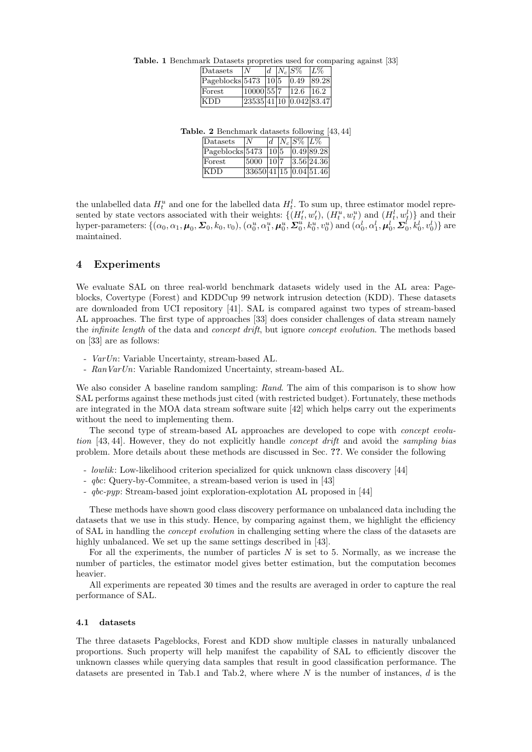Table. 1 Benchmark Datasets propreties used for comparing against [33]

| Datasets                      | N                                |  | $ d   N_c  S\%$ | $ L\% $ |
|-------------------------------|----------------------------------|--|-----------------|---------|
| $ {\rm Pageblocks} 5473 10 5$ |                                  |  | $ 0.49\rangle$  | 89.28   |
| Forest                        | 10000 55 7                       |  | $12.6$ 16.2     |         |
| KDD                           | $\sqrt{23535 41 10 0.042 83.47}$ |  |                 |         |

Table. 2 Benchmark datasets following [43, 44]

| Datasets                          | l N                      |      | $ d   N_c  S\%  L\%$ |            |
|-----------------------------------|--------------------------|------|----------------------|------------|
| $\text{Pageblocks}$ [5473   10  5 |                          |      |                      | 0.4989.28  |
| Forest                            | 5000                     | 10 7 |                      | 3.56 24.36 |
| KDD                               | $33650$ 41 15 0.04 51.46 |      |                      |            |

the unlabelled data  $H_t^u$  and one for the labelled data  $H_t^l$ . To sum up, three estimator model represented by state vectors associated with their weights:  $\{(H'_t, w'_t), (H^u_t, w^u_t) \text{ and } (H^l_t, w^l_t)\}\$  and their hyper-parameters:  $\{(\alpha_0, \alpha_1, \boldsymbol{\mu}_0, \boldsymbol{\Sigma}_0, k_0, v_0), (\alpha_0^u, \alpha_1^u, \boldsymbol{\mu}_0^u, \boldsymbol{\Sigma}_0^u, k_0^u, v_0^u) \text{ and } (\alpha_0^l, \alpha_1^l, \boldsymbol{\mu}_0^l, \boldsymbol{\Sigma}_0^l, k_0^l, v_0^l)\}$  are maintained.

## 4 Experiments

We evaluate SAL on three real-world benchmark datasets widely used in the AL area: Pageblocks, Covertype (Forest) and KDDCup 99 network intrusion detection (KDD). These datasets are downloaded from UCI repository [41]. SAL is compared against two types of stream-based AL approaches. The first type of approaches [33] does consider challenges of data stream namely the *infinite length* of the data and *concept drift*, but ignore *concept evolution*. The methods based on [33] are as follows:

- VarUn: Variable Uncertainty, stream-based AL.
- RanVarUn: Variable Randomized Uncertainty, stream-based AL.

We also consider A baseline random sampling: Rand. The aim of this comparison is to show how SAL performs against these methods just cited (with restricted budget). Fortunately, these methods are integrated in the MOA data stream software suite [42] which helps carry out the experiments without the need to implementing them.

The second type of stream-based AL approaches are developed to cope with concept evolution [43, 44]. However, they do not explicitly handle *concept drift* and avoid the *sampling bias* problem. More details about these methods are discussed in Sec. ??. We consider the following

- lowlik: Low-likelihood criterion specialized for quick unknown class discovery [44]
- qbc: Query-by-Commitee, a stream-based verion is used in [43]
- qbc-pyp: Stream-based joint exploration-explotation AL proposed in [44]

These methods have shown good class discovery performance on unbalanced data including the datasets that we use in this study. Hence, by comparing against them, we highlight the efficiency of SAL in handling the *concept evolution* in challenging setting where the class of the datasets are highly unbalanced. We set up the same settings described in [43].

For all the experiments, the number of particles  $N$  is set to 5. Normally, as we increase the number of particles, the estimator model gives better estimation, but the computation becomes heavier.

All experiments are repeated 30 times and the results are averaged in order to capture the real performance of SAL.

#### 4.1 datasets

The three datasets Pageblocks, Forest and KDD show multiple classes in naturally unbalanced proportions. Such property will help manifest the capability of SAL to efficiently discover the unknown classes while querying data samples that result in good classification performance. The datasets are presented in Tab.1 and Tab.2, where where  $N$  is the number of instances,  $d$  is the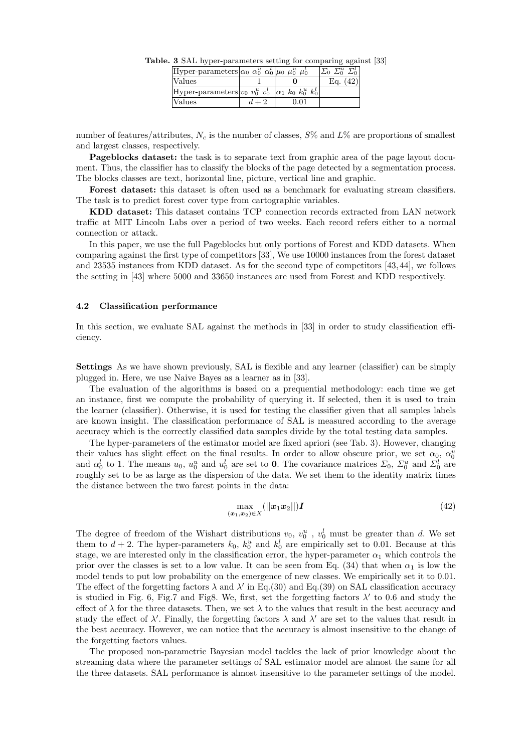| Hyper-parameters $\alpha_0 \alpha_0^u \alpha_0^l \mu_0 \mu_0^u \mu_0^l$ |      | $\Sigma^u_{0}$ $\Sigma^t_{0}$ |
|-------------------------------------------------------------------------|------|-------------------------------|
| Values                                                                  |      | Eq. $(42)$                    |
| Hyper-parameters $ v_0 v_0^u v_0^l  \alpha_1 k_0 k_0^u k_0^l $          |      |                               |
| Values                                                                  | 0.01 |                               |

Table. 3 SAL hyper-parameters setting for comparing against [33]

number of features/attributes,  $N_c$  is the number of classes,  $S\%$  and  $L\%$  are proportions of smallest and largest classes, respectively.

Pageblocks dataset: the task is to separate text from graphic area of the page layout document. Thus, the classifier has to classify the blocks of the page detected by a segmentation process. The blocks classes are text, horizontal line, picture, vertical line and graphic.

Forest dataset: this dataset is often used as a benchmark for evaluating stream classifiers. The task is to predict forest cover type from cartographic variables.

KDD dataset: This dataset contains TCP connection records extracted from LAN network traffic at MIT Lincoln Labs over a period of two weeks. Each record refers either to a normal connection or attack.

In this paper, we use the full Pageblocks but only portions of Forest and KDD datasets. When comparing against the first type of competitors [33], We use 10000 instances from the forest dataset and 23535 instances from KDD dataset. As for the second type of competitors [43, 44], we follows the setting in [43] where 5000 and 33650 instances are used from Forest and KDD respectively.

### 4.2 Classification performance

In this section, we evaluate SAL against the methods in [33] in order to study classification efficiency.

Settings As we have shown previously, SAL is flexible and any learner (classifier) can be simply plugged in. Here, we use Naive Bayes as a learner as in [33].

The evaluation of the algorithms is based on a prequential methodology: each time we get an instance, first we compute the probability of querying it. If selected, then it is used to train the learner (classifier). Otherwise, it is used for testing the classifier given that all samples labels are known insight. The classification performance of SAL is measured according to the average accuracy which is the correctly classified data samples divide by the total testing data samples.

The hyper-parameters of the estimator model are fixed apriori (see Tab. 3). However, changing their values has slight effect on the final results. In order to allow obscure prior, we set  $\alpha_0$ ,  $\alpha_0^u$ and  $\alpha_0^l$  to 1. The means  $u_0$ ,  $u_0^u$  and  $u_0^l$  are set to 0. The covariance matrices  $\Sigma_0$ ,  $\Sigma_0^u$  and  $\Sigma_0^l$  are roughly set to be as large as the dispersion of the data. We set them to the identity matrix times the distance between the two farest points in the data:

$$
\max_{(\boldsymbol{x}_1,\boldsymbol{x}_2)\in X}(||\boldsymbol{x}_1\boldsymbol{x}_2||) \boldsymbol{I}
$$
\n(42)

The degree of freedom of the Wishart distributions  $v_0, v_0^u, v_0^l$  must be greater than d. We set them to  $d + 2$ . The hyper-parameters  $k_0$ ,  $k_0^u$  and  $k_0^l$  are empirically set to 0.01. Because at this stage, we are interested only in the classification error, the hyper-parameter  $\alpha_1$  which controls the prior over the classes is set to a low value. It can be seen from Eq.  $(34)$  that when  $\alpha_1$  is low the model tends to put low probability on the emergence of new classes. We empirically set it to 0.01. The effect of the forgetting factors  $\lambda$  and  $\lambda'$  in Eq.(30) and Eq.(39) on SAL classification accuracy is studied in Fig. 6, Fig.7 and Fig8. We, first, set the forgetting factors  $\lambda'$  to 0.6 and study the effect of  $\lambda$  for the three datasets. Then, we set  $\lambda$  to the values that result in the best accuracy and study the effect of  $\lambda'$ . Finally, the forgetting factors  $\lambda$  and  $\lambda'$  are set to the values that result in the best accuracy. However, we can notice that the accuracy is almost insensitive to the change of the forgetting factors values.

The proposed non-parametric Bayesian model tackles the lack of prior knowledge about the streaming data where the parameter settings of SAL estimator model are almost the same for all the three datasets. SAL performance is almost insensitive to the parameter settings of the model.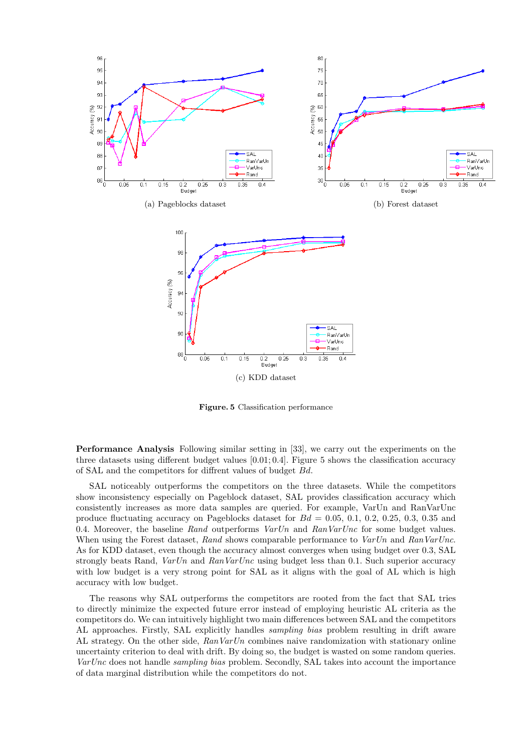

Figure. 5 Classification performance

Performance Analysis Following similar setting in [33], we carry out the experiments on the three datasets using different budget values  $[0.01; 0.4]$ . Figure 5 shows the classification accuracy of SAL and the competitors for diffrent values of budget Bd.

SAL noticeably outperforms the competitors on the three datasets. While the competitors show inconsistency especially on Pageblock dataset, SAL provides classification accuracy which consistently increases as more data samples are queried. For example, VarUn and RanVarUnc produce fluctuating accuracy on Pageblocks dataset for  $Bd = 0.05, 0.1, 0.2, 0.25, 0.3, 0.35$  and 0.4. Moreover, the baseline Rand outperforms  $VarUn$  and  $RanVarUn$  for some budget values. When using the Forest dataset, Rand shows comparable performance to VarUn and RanVarUnc. As for KDD dataset, even though the accuracy almost converges when using budget over 0.3, SAL strongly beats Rand, VarUn and RanVarUnc using budget less than 0.1. Such superior accuracy with low budget is a very strong point for SAL as it aligns with the goal of AL which is high accuracy with low budget.

The reasons why SAL outperforms the competitors are rooted from the fact that SAL tries to directly minimize the expected future error instead of employing heuristic AL criteria as the competitors do. We can intuitively highlight two main differences between SAL and the competitors AL approaches. Firstly, SAL explicitly handles *sampling bias* problem resulting in drift aware AL strategy. On the other side,  $RanVarUn$  combines naive randomization with stationary online uncertainty criterion to deal with drift. By doing so, the budget is wasted on some random queries. VarUnc does not handle *sampling bias* problem. Secondly, SAL takes into account the importance of data marginal distribution while the competitors do not.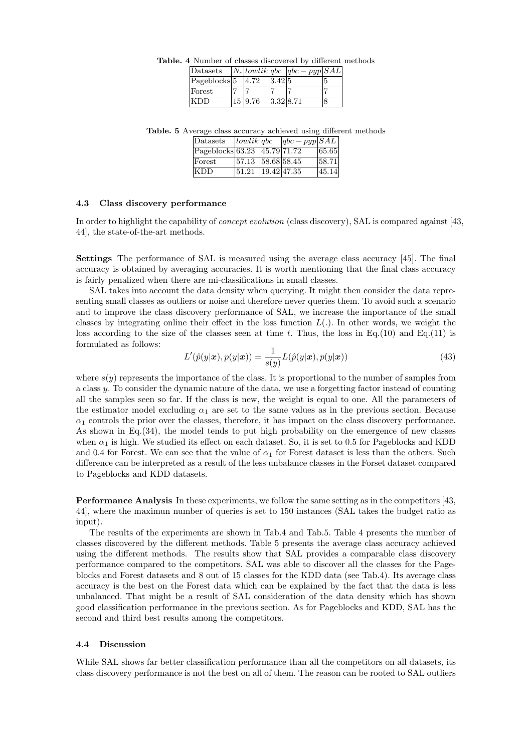| <b>Table.</b> 4 Number of classes discovered by different methods            |  |        |  |  |
|------------------------------------------------------------------------------|--|--------|--|--|
| $\overline{\text{Datasets}}$ $N_c   \text{lowlik}   qbc   qbc - pyp   SAL  $ |  |        |  |  |
| $ Pageblocks 5 \t  4.72$                                                     |  | 3.42 5 |  |  |
| Forest                                                                       |  |        |  |  |

KDD 15 9.76 3.32 8.71

Table. 5 Average class accuracy achieved using different methods

| Datasets                                            | lowlik abc        |                  | $ qbc - pyp SAL$ |        |
|-----------------------------------------------------|-------------------|------------------|------------------|--------|
| $\text{Pageblocks}(63.23 \text{ }   45.79   71.72)$ |                   |                  |                  | 65.65  |
| Forest                                              | 57.13 58.68 58.45 |                  |                  | 158.71 |
| <b>KDD</b>                                          | 51.21             | $19.42 \, 47.35$ |                  | 45.14  |

#### 4.3 Class discovery performance

In order to highlight the capability of *concept evolution* (class discovery), SAL is compared against [43, 44], the state-of-the-art methods.

Settings The performance of SAL is measured using the average class accuracy [45]. The final accuracy is obtained by averaging accuracies. It is worth mentioning that the final class accuracy is fairly penalized when there are mi-classifications in small classes.

SAL takes into account the data density when querying. It might then consider the data representing small classes as outliers or noise and therefore never queries them. To avoid such a scenario and to improve the class discovery performance of SAL, we increase the importance of the small classes by integrating online their effect in the loss function  $L(.)$ . In other words, we weight the loss according to the size of the classes seen at time t. Thus, the loss in Eq.(10) and Eq.(11) is formulated as follows:

$$
L'(\hat{p}(y|\boldsymbol{x}), p(y|\boldsymbol{x})) = \frac{1}{s(y)} L(\hat{p}(y|\boldsymbol{x}), p(y|\boldsymbol{x}))
$$
\n(43)

where  $s(y)$  represents the importance of the class. It is proportional to the number of samples from a class y. To consider the dynamic nature of the data, we use a forgetting factor instead of counting all the samples seen so far. If the class is new, the weight is equal to one. All the parameters of the estimator model excluding  $\alpha_1$  are set to the same values as in the previous section. Because  $\alpha_1$  controls the prior over the classes, therefore, it has impact on the class discovery performance. As shown in Eq.(34), the model tends to put high probability on the emergence of new classes when  $\alpha_1$  is high. We studied its effect on each dataset. So, it is set to 0.5 for Pageblocks and KDD and 0.4 for Forest. We can see that the value of  $\alpha_1$  for Forest dataset is less than the others. Such difference can be interpreted as a result of the less unbalance classes in the Forset dataset compared to Pageblocks and KDD datasets.

Performance Analysis In these experiments, we follow the same setting as in the competitors [43, 44], where the maximun number of queries is set to 150 instances (SAL takes the budget ratio as input).

The results of the experiments are shown in Tab.4 and Tab.5. Table 4 presents the number of classes discovered by the different methods. Table 5 presents the average class accuracy achieved using the different methods. The results show that SAL provides a comparable class discovery performance compared to the competitors. SAL was able to discover all the classes for the Pageblocks and Forest datasets and 8 out of 15 classes for the KDD data (see Tab.4). Its average class accuracy is the best on the Forest data which can be explained by the fact that the data is less unbalanced. That might be a result of SAL consideration of the data density which has shown good classification performance in the previous section. As for Pageblocks and KDD, SAL has the second and third best results among the competitors.

#### 4.4 Discussion

While SAL shows far better classification performance than all the competitors on all datasets, its class discovery performance is not the best on all of them. The reason can be rooted to SAL outliers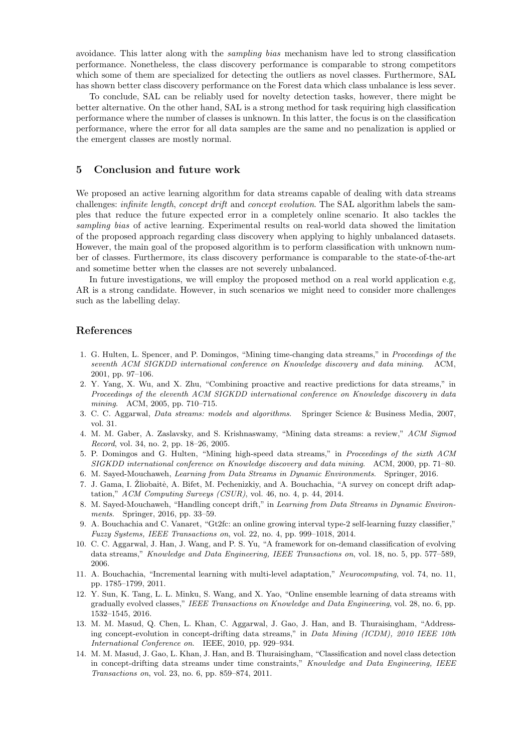avoidance. This latter along with the sampling bias mechanism have led to strong classification performance. Nonetheless, the class discovery performance is comparable to strong competitors which some of them are specialized for detecting the outliers as novel classes. Furthermore, SAL has shown better class discovery performance on the Forest data which class unbalance is less sever.

To conclude, SAL can be reliably used for novelty detection tasks, however, there might be better alternative. On the other hand, SAL is a strong method for task requiring high classification performance where the number of classes is unknown. In this latter, the focus is on the classification performance, where the error for all data samples are the same and no penalization is applied or the emergent classes are mostly normal.

### 5 Conclusion and future work

We proposed an active learning algorithm for data streams capable of dealing with data streams challenges: *infinite length, concept drift* and *concept evolution*. The SAL algorithm labels the samples that reduce the future expected error in a completely online scenario. It also tackles the sampling bias of active learning. Experimental results on real-world data showed the limitation of the proposed approach regarding class discovery when applying to highly unbalanced datasets. However, the main goal of the proposed algorithm is to perform classification with unknown number of classes. Furthermore, its class discovery performance is comparable to the state-of-the-art and sometime better when the classes are not severely unbalanced.

In future investigations, we will employ the proposed method on a real world application e.g, AR is a strong candidate. However, in such scenarios we might need to consider more challenges such as the labelling delay.

### References

- 1. G. Hulten, L. Spencer, and P. Domingos, "Mining time-changing data streams," in Proceedings of the seventh ACM SIGKDD international conference on Knowledge discovery and data mining. ACM, 2001, pp. 97–106.
- 2. Y. Yang, X. Wu, and X. Zhu, "Combining proactive and reactive predictions for data streams," in Proceedings of the eleventh ACM SIGKDD international conference on Knowledge discovery in data mining. ACM, 2005, pp. 710–715.
- 3. C. C. Aggarwal, Data streams: models and algorithms. Springer Science & Business Media, 2007, vol. 31.
- 4. M. M. Gaber, A. Zaslavsky, and S. Krishnaswamy, "Mining data streams: a review," ACM Sigmod Record, vol. 34, no. 2, pp. 18–26, 2005.
- 5. P. Domingos and G. Hulten, "Mining high-speed data streams," in Proceedings of the sixth ACM SIGKDD international conference on Knowledge discovery and data mining. ACM, 2000, pp. 71–80.
- 6. M. Sayed-Mouchaweh, Learning from Data Streams in Dynamic Environments. Springer, 2016.
- 7. J. Gama, I. Žliobaitė, A. Bifet, M. Pechenizkiy, and A. Bouchachia, "A survey on concept drift adaptation," ACM Computing Surveys (CSUR), vol. 46, no. 4, p. 44, 2014.
- 8. M. Sayed-Mouchaweh, "Handling concept drift," in Learning from Data Streams in Dynamic Environments. Springer, 2016, pp. 33–59.
- 9. A. Bouchachia and C. Vanaret, "Gt2fc: an online growing interval type-2 self-learning fuzzy classifier," Fuzzy Systems, IEEE Transactions on, vol. 22, no. 4, pp. 999–1018, 2014.
- 10. C. C. Aggarwal, J. Han, J. Wang, and P. S. Yu, "A framework for on-demand classification of evolving data streams," Knowledge and Data Engineering, IEEE Transactions on, vol. 18, no. 5, pp. 577–589, 2006.
- 11. A. Bouchachia, "Incremental learning with multi-level adaptation," Neurocomputing, vol. 74, no. 11, pp. 1785–1799, 2011.
- 12. Y. Sun, K. Tang, L. L. Minku, S. Wang, and X. Yao, "Online ensemble learning of data streams with gradually evolved classes," IEEE Transactions on Knowledge and Data Engineering, vol. 28, no. 6, pp. 1532–1545, 2016.
- 13. M. M. Masud, Q. Chen, L. Khan, C. Aggarwal, J. Gao, J. Han, and B. Thuraisingham, "Addressing concept-evolution in concept-drifting data streams," in Data Mining (ICDM), 2010 IEEE 10th International Conference on. IEEE, 2010, pp. 929–934.
- 14. M. M. Masud, J. Gao, L. Khan, J. Han, and B. Thuraisingham, "Classification and novel class detection in concept-drifting data streams under time constraints," Knowledge and Data Engineering, IEEE Transactions on, vol. 23, no. 6, pp. 859–874, 2011.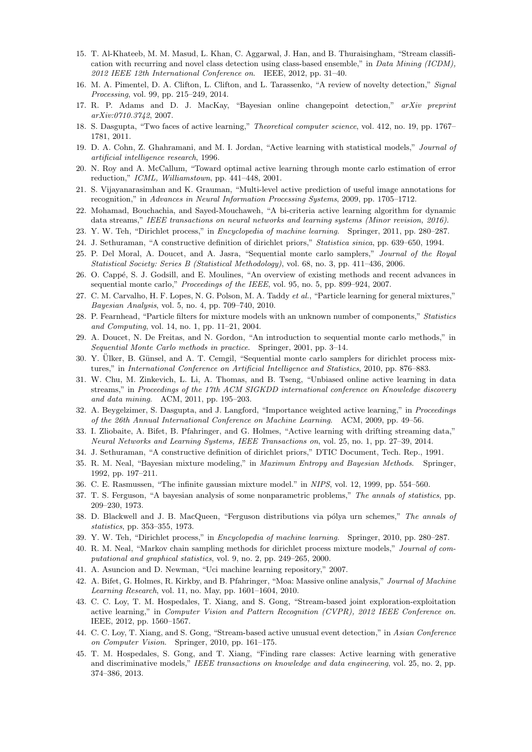- 15. T. Al-Khateeb, M. M. Masud, L. Khan, C. Aggarwal, J. Han, and B. Thuraisingham, "Stream classification with recurring and novel class detection using class-based ensemble," in Data Mining (ICDM), 2012 IEEE 12th International Conference on. IEEE, 2012, pp. 31–40.
- 16. M. A. Pimentel, D. A. Clifton, L. Clifton, and L. Tarassenko, "A review of novelty detection," Signal Processing, vol. 99, pp. 215–249, 2014.
- 17. R. P. Adams and D. J. MacKay, "Bayesian online changepoint detection," arXiv preprint arXiv:0710.3742, 2007.
- 18. S. Dasgupta, "Two faces of active learning," Theoretical computer science, vol. 412, no. 19, pp. 1767– 1781, 2011.
- 19. D. A. Cohn, Z. Ghahramani, and M. I. Jordan, "Active learning with statistical models," Journal of artificial intelligence research, 1996.
- 20. N. Roy and A. McCallum, "Toward optimal active learning through monte carlo estimation of error reduction," ICML, Williamstown, pp. 441–448, 2001.
- 21. S. Vijayanarasimhan and K. Grauman, "Multi-level active prediction of useful image annotations for recognition," in Advances in Neural Information Processing Systems, 2009, pp. 1705–1712.
- 22. Mohamad, Bouchachia, and Sayed-Mouchaweh, "A bi-criteria active learning algorithm for dynamic data streams," IEEE transactions on neural networks and learning systems (Minor revision, 2016).
- 23. Y. W. Teh, "Dirichlet process," in Encyclopedia of machine learning. Springer, 2011, pp. 280–287.
- 24. J. Sethuraman, "A constructive definition of dirichlet priors," Statistica sinica, pp. 639–650, 1994.
- 25. P. Del Moral, A. Doucet, and A. Jasra, "Sequential monte carlo samplers," Journal of the Royal Statistical Society: Series B (Statistical Methodology), vol. 68, no. 3, pp. 411–436, 2006.
- 26. O. Capp´e, S. J. Godsill, and E. Moulines, "An overview of existing methods and recent advances in sequential monte carlo," Proceedings of the IEEE, vol. 95, no. 5, pp. 899–924, 2007.
- 27. C. M. Carvalho, H. F. Lopes, N. G. Polson, M. A. Taddy et al., "Particle learning for general mixtures," Bayesian Analysis, vol. 5, no. 4, pp. 709–740, 2010.
- 28. P. Fearnhead, "Particle filters for mixture models with an unknown number of components," Statistics and Computing, vol. 14, no. 1, pp. 11–21, 2004.
- 29. A. Doucet, N. De Freitas, and N. Gordon, "An introduction to sequential monte carlo methods," in Sequential Monte Carlo methods in practice. Springer, 2001, pp. 3–14.
- 30. Y. Ulker, B. Günsel, and A. T. Cemeil, "Sequential monte carlo samplers for dirichlet process mixtures," in International Conference on Artificial Intelligence and Statistics, 2010, pp. 876–883.
- 31. W. Chu, M. Zinkevich, L. Li, A. Thomas, and B. Tseng, "Unbiased online active learning in data streams," in Proceedings of the 17th ACM SIGKDD international conference on Knowledge discovery and data mining. ACM, 2011, pp. 195–203.
- 32. A. Beygelzimer, S. Dasgupta, and J. Langford, "Importance weighted active learning," in Proceedings of the 26th Annual International Conference on Machine Learning. ACM, 2009, pp. 49–56.
- 33. I. Zliobaite, A. Bifet, B. Pfahringer, and G. Holmes, "Active learning with drifting streaming data," Neural Networks and Learning Systems, IEEE Transactions on, vol. 25, no. 1, pp. 27–39, 2014.
- 34. J. Sethuraman, "A constructive definition of dirichlet priors," DTIC Document, Tech. Rep., 1991.
- 35. R. M. Neal, "Bayesian mixture modeling," in Maximum Entropy and Bayesian Methods. Springer, 1992, pp. 197–211.
- 36. C. E. Rasmussen, "The infinite gaussian mixture model." in NIPS, vol. 12, 1999, pp. 554–560.
- 37. T. S. Ferguson, "A bayesian analysis of some nonparametric problems," The annals of statistics, pp. 209–230, 1973.
- 38. D. Blackwell and J. B. MacQueen, "Ferguson distributions via pólya urn schemes," The annals of statistics, pp. 353–355, 1973.
- 39. Y. W. Teh, "Dirichlet process," in Encyclopedia of machine learning. Springer, 2010, pp. 280–287.
- 40. R. M. Neal, "Markov chain sampling methods for dirichlet process mixture models," Journal of computational and graphical statistics, vol. 9, no. 2, pp. 249–265, 2000.
- 41. A. Asuncion and D. Newman, "Uci machine learning repository," 2007.
- 42. A. Bifet, G. Holmes, R. Kirkby, and B. Pfahringer, "Moa: Massive online analysis," Journal of Machine Learning Research, vol. 11, no. May, pp. 1601–1604, 2010.
- 43. C. C. Loy, T. M. Hospedales, T. Xiang, and S. Gong, "Stream-based joint exploration-exploitation active learning," in Computer Vision and Pattern Recognition (CVPR), 2012 IEEE Conference on. IEEE, 2012, pp. 1560–1567.
- 44. C. C. Loy, T. Xiang, and S. Gong, "Stream-based active unusual event detection," in Asian Conference on Computer Vision. Springer, 2010, pp. 161–175.
- 45. T. M. Hospedales, S. Gong, and T. Xiang, "Finding rare classes: Active learning with generative and discriminative models," IEEE transactions on knowledge and data engineering, vol. 25, no. 2, pp. 374–386, 2013.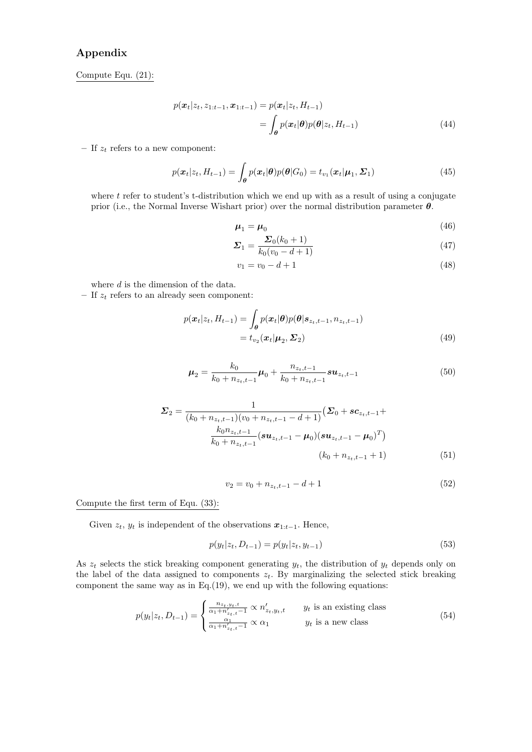# Appendix

Compute Equ. (21):

$$
p(\boldsymbol{x}_t | z_t, z_{1:t-1}, \boldsymbol{x}_{1:t-1}) = p(\boldsymbol{x}_t | z_t, H_{t-1})
$$
  
= 
$$
\int_{\boldsymbol{\theta}} p(\boldsymbol{x}_t | \boldsymbol{\theta}) p(\boldsymbol{\theta} | z_t, H_{t-1})
$$
(44)

– If  $\boldsymbol{z}_t$  refers to a new component:

$$
p(\boldsymbol{x}_t|z_t, H_{t-1}) = \int_{\boldsymbol{\theta}} p(\boldsymbol{x}_t|\boldsymbol{\theta}) p(\boldsymbol{\theta}|G_0) = t_{v_1}(\boldsymbol{x}_t|\boldsymbol{\mu}_1, \boldsymbol{\Sigma}_1)
$$
(45)

where  $t$  refer to student's t-distribution which we end up with as a result of using a conjugate prior (i.e., the Normal Inverse Wishart prior) over the normal distribution parameter  $\theta$ .

$$
\mu_1 = \mu_0 \tag{46}
$$

$$
\Sigma_1 = \frac{\Sigma_0 (k_0 + 1)}{k_0 (v_0 - d + 1)}\tag{47}
$$

$$
v_1 = v_0 - d + 1 \tag{48}
$$

where  $d$  is the dimension of the data.

– If  $z_t$  refers to an already seen component:

$$
p(\boldsymbol{x}_t|z_t, H_{t-1}) = \int_{\boldsymbol{\theta}} p(\boldsymbol{x}_t|\boldsymbol{\theta}) p(\boldsymbol{\theta}|\boldsymbol{s}_{z_t, t-1}, n_{z_t, t-1})
$$
  
=  $t_{v_2}(\boldsymbol{x}_t|\boldsymbol{\mu}_2, \boldsymbol{\Sigma}_2)$  (49)

$$
\mu_2 = \frac{k_0}{k_0 + n_{z_t, t-1}} \mu_0 + \frac{n_{z_t, t-1}}{k_0 + n_{z_t, t-1}} s u_{z_t, t-1}
$$
(50)

$$
\Sigma_2 = \frac{1}{(k_0 + n_{z_t, t-1})(v_0 + n_{z_t, t-1} - d + 1)} \left(\Sigma_0 + \mathbf{c}_{z_t, t-1} + \frac{k_0 n_{z_t, t-1}}{k_0 + n_{z_t, t-1}} (\mathbf{s} \mathbf{u}_{z_t, t-1} - \boldsymbol{\mu}_0) (\mathbf{s} \mathbf{u}_{z_t, t-1} - \boldsymbol{\mu}_0)^T \right)
$$
\n
$$
(k_0 + n_{z_t, t-1} + 1) \tag{51}
$$

$$
v_2 = v_0 + n_{z_t, t-1} - d + 1 \tag{52}
$$

Compute the first term of Equ. (33):

Given  $z_t$ ,  $y_t$  is independent of the observations  $x_{1:t-1}$ . Hence,

$$
p(y_t|z_t, D_{t-1}) = p(y_t|z_t, y_{t-1})
$$
\n(53)

As  $z_t$  selects the stick breaking component generating  $y_t$ , the distribution of  $y_t$  depends only on the label of the data assigned to components  $z_t$ . By marginalizing the selected stick breaking component the same way as in Eq.(19), we end up with the following equations:

$$
p(y_t|z_t, D_{t-1}) = \begin{cases} \frac{n_{z_t, y_t, t}}{\alpha_1 + n'_{z_t, t} - 1} \propto n'_{z_t, y_t, t} & y_t \text{ is an existing class} \\ \frac{\alpha_1}{\alpha_1 + n'_{z_t, t} - 1} \propto \alpha_1 & y_t \text{ is a new class} \end{cases}
$$
(54)